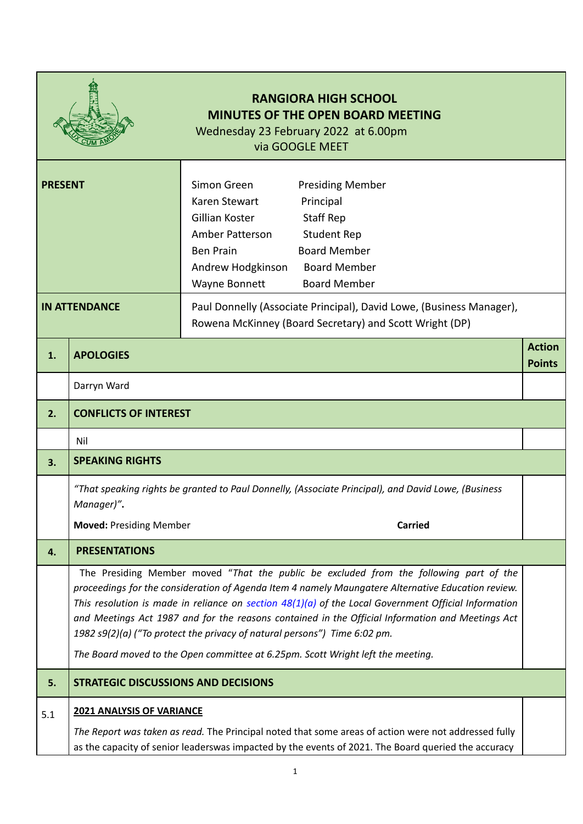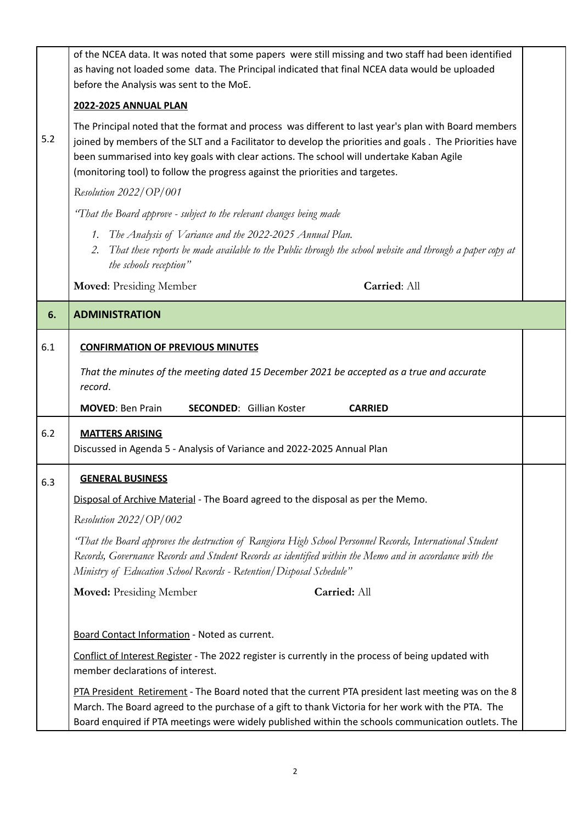|                                                                                                                                                                                                                                                                                                                                                                                                     | of the NCEA data. It was noted that some papers were still missing and two staff had been identified<br>as having not loaded some data. The Principal indicated that final NCEA data would be uploaded<br>before the Analysis was sent to the MoE.                                                              |  |  |  |  |  |
|-----------------------------------------------------------------------------------------------------------------------------------------------------------------------------------------------------------------------------------------------------------------------------------------------------------------------------------------------------------------------------------------------------|-----------------------------------------------------------------------------------------------------------------------------------------------------------------------------------------------------------------------------------------------------------------------------------------------------------------|--|--|--|--|--|
|                                                                                                                                                                                                                                                                                                                                                                                                     | <b>2022-2025 ANNUAL PLAN</b>                                                                                                                                                                                                                                                                                    |  |  |  |  |  |
| The Principal noted that the format and process was different to last year's plan with Board members<br>5.2<br>joined by members of the SLT and a Facilitator to develop the priorities and goals. The Priorities have<br>been summarised into key goals with clear actions. The school will undertake Kaban Agile<br>(monitoring tool) to follow the progress against the priorities and targetes. |                                                                                                                                                                                                                                                                                                                 |  |  |  |  |  |
|                                                                                                                                                                                                                                                                                                                                                                                                     | Resolution 2022/OP/001                                                                                                                                                                                                                                                                                          |  |  |  |  |  |
|                                                                                                                                                                                                                                                                                                                                                                                                     | "That the Board approve - subject to the relevant changes being made                                                                                                                                                                                                                                            |  |  |  |  |  |
|                                                                                                                                                                                                                                                                                                                                                                                                     | The Analysis of Variance and the 2022-2025 Annual Plan.<br>1.<br>That these reports be made available to the Public through the school website and through a paper copy at<br>2.<br>the schools reception"                                                                                                      |  |  |  |  |  |
|                                                                                                                                                                                                                                                                                                                                                                                                     | Carried: All<br><b>Moved: Presiding Member</b>                                                                                                                                                                                                                                                                  |  |  |  |  |  |
| 6.                                                                                                                                                                                                                                                                                                                                                                                                  | <b>ADMINISTRATION</b>                                                                                                                                                                                                                                                                                           |  |  |  |  |  |
| 6.1                                                                                                                                                                                                                                                                                                                                                                                                 | <b>CONFIRMATION OF PREVIOUS MINUTES</b>                                                                                                                                                                                                                                                                         |  |  |  |  |  |
|                                                                                                                                                                                                                                                                                                                                                                                                     | That the minutes of the meeting dated 15 December 2021 be accepted as a true and accurate                                                                                                                                                                                                                       |  |  |  |  |  |
|                                                                                                                                                                                                                                                                                                                                                                                                     | record.                                                                                                                                                                                                                                                                                                         |  |  |  |  |  |
|                                                                                                                                                                                                                                                                                                                                                                                                     | <b>SECONDED:</b> Gillian Koster<br><b>MOVED: Ben Prain</b><br><b>CARRIED</b>                                                                                                                                                                                                                                    |  |  |  |  |  |
| 6.2                                                                                                                                                                                                                                                                                                                                                                                                 | <b>MATTERS ARISING</b><br>Discussed in Agenda 5 - Analysis of Variance and 2022-2025 Annual Plan                                                                                                                                                                                                                |  |  |  |  |  |
| 6.3                                                                                                                                                                                                                                                                                                                                                                                                 | <b>GENERAL BUSINESS</b>                                                                                                                                                                                                                                                                                         |  |  |  |  |  |
|                                                                                                                                                                                                                                                                                                                                                                                                     | Disposal of Archive Material - The Board agreed to the disposal as per the Memo.                                                                                                                                                                                                                                |  |  |  |  |  |
|                                                                                                                                                                                                                                                                                                                                                                                                     | Resolution 2022/OP/002                                                                                                                                                                                                                                                                                          |  |  |  |  |  |
|                                                                                                                                                                                                                                                                                                                                                                                                     | "That the Board approves the destruction of Rangiora High School Personnel Records, International Student<br>Records, Governance Records and Student Records as identified within the Memo and in accordance with the<br>Ministry of Education School Records - Retention/Disposal Schedule"                    |  |  |  |  |  |
|                                                                                                                                                                                                                                                                                                                                                                                                     | Carried: All<br><b>Moved: Presiding Member</b>                                                                                                                                                                                                                                                                  |  |  |  |  |  |
|                                                                                                                                                                                                                                                                                                                                                                                                     |                                                                                                                                                                                                                                                                                                                 |  |  |  |  |  |
|                                                                                                                                                                                                                                                                                                                                                                                                     | Board Contact Information - Noted as current.                                                                                                                                                                                                                                                                   |  |  |  |  |  |
|                                                                                                                                                                                                                                                                                                                                                                                                     | Conflict of Interest Register - The 2022 register is currently in the process of being updated with<br>member declarations of interest.                                                                                                                                                                         |  |  |  |  |  |
|                                                                                                                                                                                                                                                                                                                                                                                                     | PTA President Retirement - The Board noted that the current PTA president last meeting was on the 8<br>March. The Board agreed to the purchase of a gift to thank Victoria for her work with the PTA. The<br>Board enquired if PTA meetings were widely published within the schools communication outlets. The |  |  |  |  |  |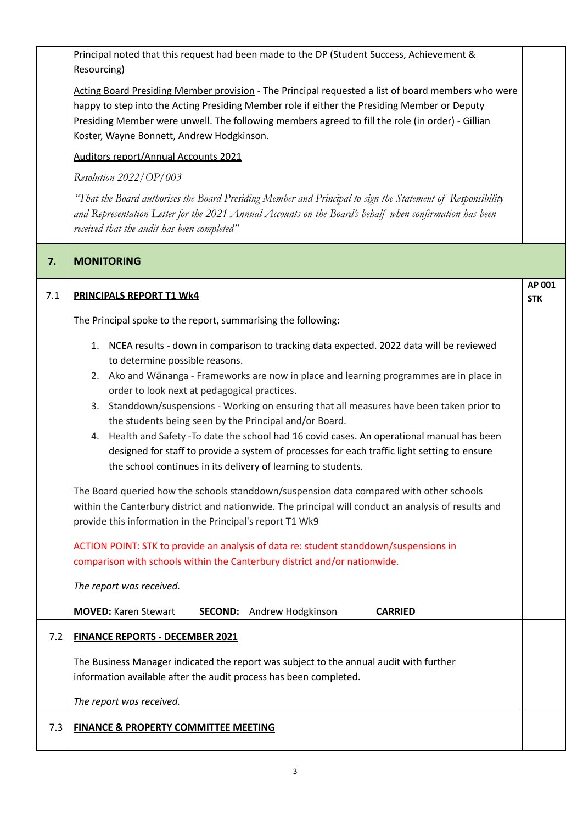|                                      | Principal noted that this request had been made to the DP (Student Success, Achievement &<br>Resourcing)                                                                                                                                                                                                                                            |                      |  |  |  |
|--------------------------------------|-----------------------------------------------------------------------------------------------------------------------------------------------------------------------------------------------------------------------------------------------------------------------------------------------------------------------------------------------------|----------------------|--|--|--|
|                                      | Acting Board Presiding Member provision - The Principal requested a list of board members who were<br>happy to step into the Acting Presiding Member role if either the Presiding Member or Deputy<br>Presiding Member were unwell. The following members agreed to fill the role (in order) - Gillian<br>Koster, Wayne Bonnett, Andrew Hodgkinson. |                      |  |  |  |
| Auditors report/Annual Accounts 2021 |                                                                                                                                                                                                                                                                                                                                                     |                      |  |  |  |
|                                      | Resolution 2022/OP/003                                                                                                                                                                                                                                                                                                                              |                      |  |  |  |
|                                      | "That the Board authorises the Board Presiding Member and Principal to sign the Statement of Responsibility<br>and Representation Letter for the 2021 Annual Accounts on the Board's behalf when confirmation has been<br>received that the audit has been completed"                                                                               |                      |  |  |  |
| 7.                                   | <b>MONITORING</b>                                                                                                                                                                                                                                                                                                                                   |                      |  |  |  |
| 7.1                                  | <b>PRINCIPALS REPORT T1 WK4</b>                                                                                                                                                                                                                                                                                                                     | AP 001<br><b>STK</b> |  |  |  |
|                                      | The Principal spoke to the report, summarising the following:                                                                                                                                                                                                                                                                                       |                      |  |  |  |
|                                      | 1. NCEA results - down in comparison to tracking data expected. 2022 data will be reviewed<br>to determine possible reasons.                                                                                                                                                                                                                        |                      |  |  |  |
|                                      | 2. Ako and Wānanga - Frameworks are now in place and learning programmes are in place in<br>order to look next at pedagogical practices.                                                                                                                                                                                                            |                      |  |  |  |
|                                      | 3. Standdown/suspensions - Working on ensuring that all measures have been taken prior to                                                                                                                                                                                                                                                           |                      |  |  |  |
|                                      | the students being seen by the Principal and/or Board.                                                                                                                                                                                                                                                                                              |                      |  |  |  |
|                                      | 4. Health and Safety -To date the school had 16 covid cases. An operational manual has been                                                                                                                                                                                                                                                         |                      |  |  |  |
|                                      | designed for staff to provide a system of processes for each traffic light setting to ensure<br>the school continues in its delivery of learning to students.                                                                                                                                                                                       |                      |  |  |  |
|                                      | The Board queried how the schools standdown/suspension data compared with other schools                                                                                                                                                                                                                                                             |                      |  |  |  |
|                                      | within the Canterbury district and nationwide. The principal will conduct an analysis of results and<br>provide this information in the Principal's report T1 Wk9<br>ACTION POINT: STK to provide an analysis of data re: student standdown/suspensions in<br>comparison with schools within the Canterbury district and/or nationwide.             |                      |  |  |  |
|                                      |                                                                                                                                                                                                                                                                                                                                                     |                      |  |  |  |
|                                      |                                                                                                                                                                                                                                                                                                                                                     |                      |  |  |  |
|                                      | The report was received.                                                                                                                                                                                                                                                                                                                            |                      |  |  |  |
|                                      | <b>MOVED: Karen Stewart</b><br><b>SECOND:</b> Andrew Hodgkinson<br><b>CARRIED</b>                                                                                                                                                                                                                                                                   |                      |  |  |  |
| 7.2                                  | <b>FINANCE REPORTS - DECEMBER 2021</b>                                                                                                                                                                                                                                                                                                              |                      |  |  |  |
|                                      | The Business Manager indicated the report was subject to the annual audit with further                                                                                                                                                                                                                                                              |                      |  |  |  |
|                                      | information available after the audit process has been completed.                                                                                                                                                                                                                                                                                   |                      |  |  |  |
|                                      | The report was received.                                                                                                                                                                                                                                                                                                                            |                      |  |  |  |
| 7.3                                  | <b>FINANCE &amp; PROPERTY COMMITTEE MEETING</b>                                                                                                                                                                                                                                                                                                     |                      |  |  |  |
|                                      |                                                                                                                                                                                                                                                                                                                                                     |                      |  |  |  |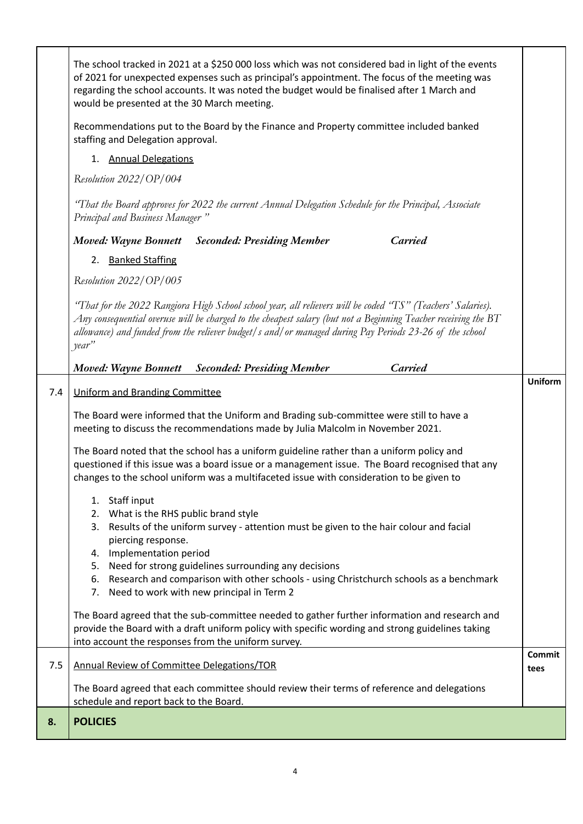|     | of 2021 for unexpected expenses such as principal's appointment. The focus of the meeting was<br>regarding the school accounts. It was noted the budget would be finalised after 1 March and<br>would be presented at the 30 March meeting.                                                                                                           |                |  |  |
|-----|-------------------------------------------------------------------------------------------------------------------------------------------------------------------------------------------------------------------------------------------------------------------------------------------------------------------------------------------------------|----------------|--|--|
|     | Recommendations put to the Board by the Finance and Property committee included banked<br>staffing and Delegation approval.<br>1. Annual Delegations                                                                                                                                                                                                  |                |  |  |
|     |                                                                                                                                                                                                                                                                                                                                                       |                |  |  |
|     | Resolution 2022/OP/004                                                                                                                                                                                                                                                                                                                                |                |  |  |
|     | "That the Board approves for 2022 the current Annual Delegation Schedule for the Principal, Associate<br>Principal and Business Manager"                                                                                                                                                                                                              |                |  |  |
|     | <b>Carried</b><br><b>Moved: Wayne Bonnett</b> Seconded: Presiding Member                                                                                                                                                                                                                                                                              |                |  |  |
|     | 2. Banked Staffing                                                                                                                                                                                                                                                                                                                                    |                |  |  |
|     | Resolution 2022/OP/005                                                                                                                                                                                                                                                                                                                                |                |  |  |
|     | "That for the 2022 Rangiora High School school year, all relievers will be coded "TS" (Teachers' Salaries).<br>Any consequential overuse will be charged to the cheapest salary (but not a Beginning Teacher receiving the $BT$<br>allowance) and funded from the reliever budget/s and/or managed during Pay Periods 23-26 of the school<br>$year$ " |                |  |  |
|     | <b>Carried</b><br><b>Moved: Wayne Bonnett</b><br><b>Seconded: Presiding Member</b>                                                                                                                                                                                                                                                                    |                |  |  |
| 7.4 | Uniform and Branding Committee                                                                                                                                                                                                                                                                                                                        | <b>Uniform</b> |  |  |
|     | The Board were informed that the Uniform and Brading sub-committee were still to have a<br>meeting to discuss the recommendations made by Julia Malcolm in November 2021.                                                                                                                                                                             |                |  |  |
|     | The Board noted that the school has a uniform guideline rather than a uniform policy and<br>questioned if this issue was a board issue or a management issue. The Board recognised that any<br>changes to the school uniform was a multifaceted issue with consideration to be given to                                                               |                |  |  |
|     | 1. Staff input                                                                                                                                                                                                                                                                                                                                        |                |  |  |
|     | What is the RHS public brand style<br>2.<br>Results of the uniform survey - attention must be given to the hair colour and facial<br>3.                                                                                                                                                                                                               |                |  |  |
|     | piercing response.                                                                                                                                                                                                                                                                                                                                    |                |  |  |
|     | 4. Implementation period<br>5. Need for strong guidelines surrounding any decisions                                                                                                                                                                                                                                                                   |                |  |  |
|     | Research and comparison with other schools - using Christchurch schools as a benchmark<br>6.<br>7. Need to work with new principal in Term 2                                                                                                                                                                                                          |                |  |  |
|     | The Board agreed that the sub-committee needed to gather further information and research and                                                                                                                                                                                                                                                         |                |  |  |
|     | provide the Board with a draft uniform policy with specific wording and strong guidelines taking                                                                                                                                                                                                                                                      |                |  |  |
|     | into account the responses from the uniform survey.                                                                                                                                                                                                                                                                                                   | Commit         |  |  |
| 7.5 | <b>Annual Review of Committee Delegations/TOR</b>                                                                                                                                                                                                                                                                                                     | tees           |  |  |
|     | The Board agreed that each committee should review their terms of reference and delegations<br>schedule and report back to the Board.                                                                                                                                                                                                                 |                |  |  |
|     |                                                                                                                                                                                                                                                                                                                                                       |                |  |  |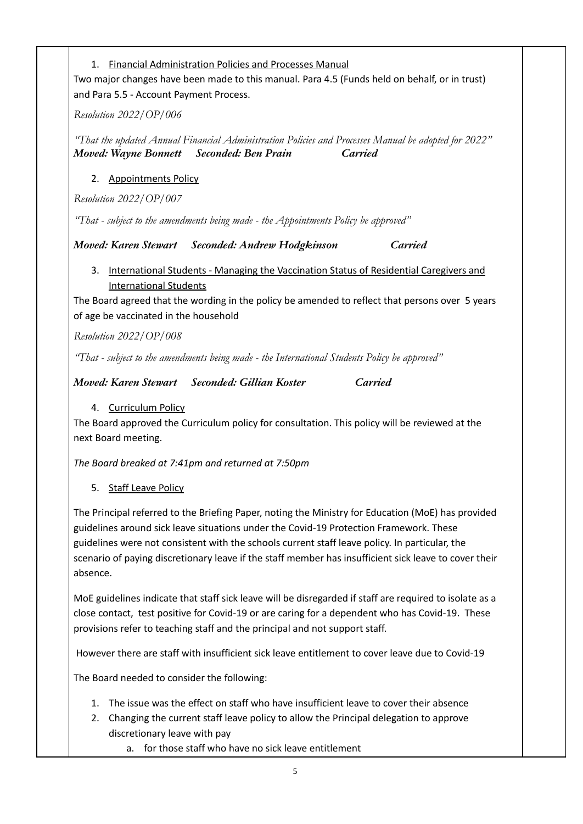1. Financial Administration Policies and Processes Manual

Two major changes have been made to this manual. Para 4.5 (Funds held on behalf, or in trust) and Para 5.5 - Account Payment Process.

*Resolution 2022/OP/006*

*"That the updated Annual Financial Administration Policies and Processes Manual be adopted for 2022" Moved: Wayne Bonnett Seconded: Ben Prain Carried*

## 2. Appointments Policy

*Resolution 2022/OP/007*

*"That - subject to the amendments being made - the Appointments Policy be approved"*

*Moved: Karen Stewart Seconded: Andrew Hodgkinson Carried*

3. International Students - Managing the Vaccination Status of Residential Caregivers and International Students

The Board agreed that the wording in the policy be amended to reflect that persons over 5 years of age be vaccinated in the household

*Resolution 2022/OP/008*

*"That - subject to the amendments being made - the International Students Policy be approved"*

*Moved: Karen Stewart Seconded: Gillian Koster Carried*

## 4. Curriculum Policy

The Board approved the Curriculum policy for consultation. This policy will be reviewed at the next Board meeting.

*The Board breaked at 7:41pm and returned at 7:50pm*

## 5. Staff Leave Policy

The Principal referred to the Briefing Paper, noting the Ministry for Education (MoE) has provided guidelines around sick leave situations under the Covid-19 Protection Framework. These guidelines were not consistent with the schools current staff leave policy. In particular, the scenario of paying discretionary leave if the staff member has insufficient sick leave to cover their absence.

MoE guidelines indicate that staff sick leave will be disregarded if staff are required to isolate as a close contact, test positive for Covid-19 or are caring for a dependent who has Covid-19. These provisions refer to teaching staff and the principal and not support staff.

However there are staff with insufficient sick leave entitlement to cover leave due to Covid-19

The Board needed to consider the following:

- 1. The issue was the effect on staff who have insufficient leave to cover their absence
- 2. Changing the current staff leave policy to allow the Principal delegation to approve discretionary leave with pay
	- a. for those staff who have no sick leave entitlement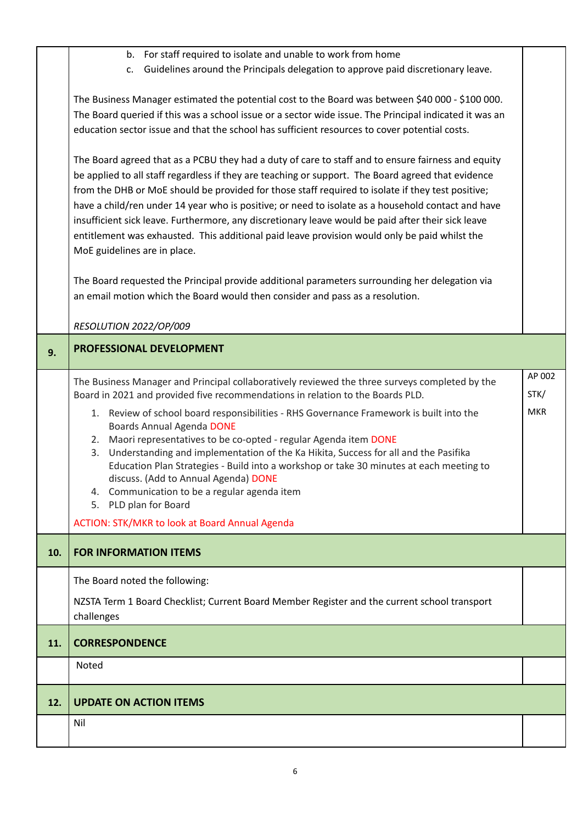|     | b. For staff required to isolate and unable to work from home                                                                                                                        |            |  |  |  |
|-----|--------------------------------------------------------------------------------------------------------------------------------------------------------------------------------------|------------|--|--|--|
|     | Guidelines around the Principals delegation to approve paid discretionary leave.<br>C.                                                                                               |            |  |  |  |
|     | The Business Manager estimated the potential cost to the Board was between \$40 000 - \$100 000.                                                                                     |            |  |  |  |
|     | The Board queried if this was a school issue or a sector wide issue. The Principal indicated it was an                                                                               |            |  |  |  |
|     | education sector issue and that the school has sufficient resources to cover potential costs.                                                                                        |            |  |  |  |
|     |                                                                                                                                                                                      |            |  |  |  |
|     | The Board agreed that as a PCBU they had a duty of care to staff and to ensure fairness and equity                                                                                   |            |  |  |  |
|     | be applied to all staff regardless if they are teaching or support. The Board agreed that evidence                                                                                   |            |  |  |  |
|     | from the DHB or MoE should be provided for those staff required to isolate if they test positive;                                                                                    |            |  |  |  |
|     | have a child/ren under 14 year who is positive; or need to isolate as a household contact and have                                                                                   |            |  |  |  |
|     | insufficient sick leave. Furthermore, any discretionary leave would be paid after their sick leave                                                                                   |            |  |  |  |
|     | entitlement was exhausted. This additional paid leave provision would only be paid whilst the                                                                                        |            |  |  |  |
|     | MoE guidelines are in place.                                                                                                                                                         |            |  |  |  |
|     | The Board requested the Principal provide additional parameters surrounding her delegation via                                                                                       |            |  |  |  |
|     | an email motion which the Board would then consider and pass as a resolution.                                                                                                        |            |  |  |  |
|     |                                                                                                                                                                                      |            |  |  |  |
|     | RESOLUTION 2022/OP/009                                                                                                                                                               |            |  |  |  |
| 9.  | PROFESSIONAL DEVELOPMENT                                                                                                                                                             |            |  |  |  |
|     | The Business Manager and Principal collaboratively reviewed the three surveys completed by the                                                                                       | AP 002     |  |  |  |
|     | Board in 2021 and provided five recommendations in relation to the Boards PLD.                                                                                                       | STK/       |  |  |  |
|     | 1. Review of school board responsibilities - RHS Governance Framework is built into the                                                                                              | <b>MKR</b> |  |  |  |
|     | <b>Boards Annual Agenda DONE</b>                                                                                                                                                     |            |  |  |  |
|     | Maori representatives to be co-opted - regular Agenda item DONE<br>2.                                                                                                                |            |  |  |  |
|     | Understanding and implementation of the Ka Hikita, Success for all and the Pasifika<br>3.<br>Education Plan Strategies - Build into a workshop or take 30 minutes at each meeting to |            |  |  |  |
|     | discuss. (Add to Annual Agenda) DONE                                                                                                                                                 |            |  |  |  |
|     | 4. Communication to be a regular agenda item                                                                                                                                         |            |  |  |  |
|     | 5. PLD plan for Board                                                                                                                                                                |            |  |  |  |
|     | <b>ACTION: STK/MKR to look at Board Annual Agenda</b>                                                                                                                                |            |  |  |  |
| 10. | <b>FOR INFORMATION ITEMS</b>                                                                                                                                                         |            |  |  |  |
|     | The Board noted the following:                                                                                                                                                       |            |  |  |  |
|     | NZSTA Term 1 Board Checklist; Current Board Member Register and the current school transport                                                                                         |            |  |  |  |
|     | challenges                                                                                                                                                                           |            |  |  |  |
| 11. | <b>CORRESPONDENCE</b>                                                                                                                                                                |            |  |  |  |
|     | Noted                                                                                                                                                                                |            |  |  |  |
|     |                                                                                                                                                                                      |            |  |  |  |
|     |                                                                                                                                                                                      |            |  |  |  |
| 12. | <b>UPDATE ON ACTION ITEMS</b>                                                                                                                                                        |            |  |  |  |
|     | Nil                                                                                                                                                                                  |            |  |  |  |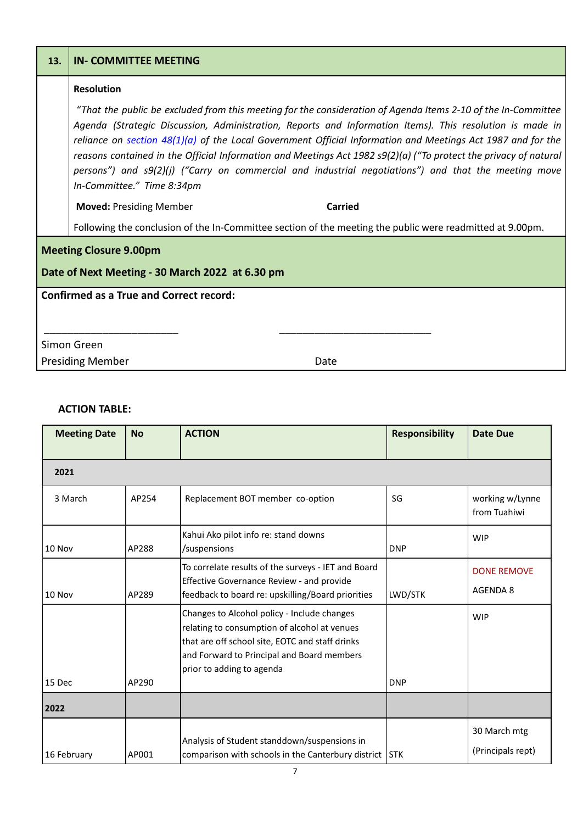| 13.                                                                              | <b>IN- COMMITTEE MEETING</b>                                                                                                                                                                                                                                                                                                                                                                                                                                                                                                                                                                         |  |  |  |  |
|----------------------------------------------------------------------------------|------------------------------------------------------------------------------------------------------------------------------------------------------------------------------------------------------------------------------------------------------------------------------------------------------------------------------------------------------------------------------------------------------------------------------------------------------------------------------------------------------------------------------------------------------------------------------------------------------|--|--|--|--|
|                                                                                  | <b>Resolution</b>                                                                                                                                                                                                                                                                                                                                                                                                                                                                                                                                                                                    |  |  |  |  |
|                                                                                  | "That the public be excluded from this meeting for the consideration of Agenda Items 2-10 of the In-Committee<br>Agenda (Strategic Discussion, Administration, Reports and Information Items). This resolution is made in<br>reliance on section $48(1)(a)$ of the Local Government Official Information and Meetings Act 1987 and for the<br>reasons contained in the Official Information and Meetings Act 1982 s9(2)(a) ("To protect the privacy of natural<br>persons") and s9(2)(j) ("Carry on commercial and industrial negotiations") and that the meeting move<br>In-Committee." Time 8:34pm |  |  |  |  |
|                                                                                  | <b>Moved: Presiding Member</b><br>Carried                                                                                                                                                                                                                                                                                                                                                                                                                                                                                                                                                            |  |  |  |  |
|                                                                                  | Following the conclusion of the In-Committee section of the meeting the public were readmitted at 9.00pm.                                                                                                                                                                                                                                                                                                                                                                                                                                                                                            |  |  |  |  |
| <b>Meeting Closure 9.00pm</b><br>Date of Next Meeting - 30 March 2022 at 6.30 pm |                                                                                                                                                                                                                                                                                                                                                                                                                                                                                                                                                                                                      |  |  |  |  |
| <b>Confirmed as a True and Correct record:</b>                                   |                                                                                                                                                                                                                                                                                                                                                                                                                                                                                                                                                                                                      |  |  |  |  |
| Simon Green                                                                      |                                                                                                                                                                                                                                                                                                                                                                                                                                                                                                                                                                                                      |  |  |  |  |
|                                                                                  | <b>Presiding Member</b><br>Date                                                                                                                                                                                                                                                                                                                                                                                                                                                                                                                                                                      |  |  |  |  |

## **ACTION TABLE:**

| <b>Meeting Date</b> | <b>No</b> | <b>ACTION</b>                                                                                                                                                                                                             | <b>Responsibility</b> | <b>Date Due</b>                       |
|---------------------|-----------|---------------------------------------------------------------------------------------------------------------------------------------------------------------------------------------------------------------------------|-----------------------|---------------------------------------|
| 2021                |           |                                                                                                                                                                                                                           |                       |                                       |
| 3 March             | AP254     | Replacement BOT member co-option                                                                                                                                                                                          | SG                    | working w/Lynne<br>from Tuahiwi       |
| 10 Nov              | AP288     | Kahui Ako pilot info re: stand downs<br>/suspensions                                                                                                                                                                      | <b>DNP</b>            | <b>WIP</b>                            |
| 10 Nov              | AP289     | To correlate results of the surveys - IET and Board<br>Effective Governance Review - and provide<br>feedback to board re: upskilling/Board priorities                                                                     | LWD/STK               | <b>DONE REMOVE</b><br><b>AGENDA 8</b> |
| 15 Dec              | AP290     | Changes to Alcohol policy - Include changes<br>relating to consumption of alcohol at venues<br>that are off school site, EOTC and staff drinks<br>and Forward to Principal and Board members<br>prior to adding to agenda | <b>DNP</b>            | <b>WIP</b>                            |
| 2022                |           |                                                                                                                                                                                                                           |                       |                                       |
| 16 February         | AP001     | Analysis of Student standdown/suspensions in<br>comparison with schools in the Canterbury district                                                                                                                        | <b>STK</b>            | 30 March mtg<br>(Principals rept)     |